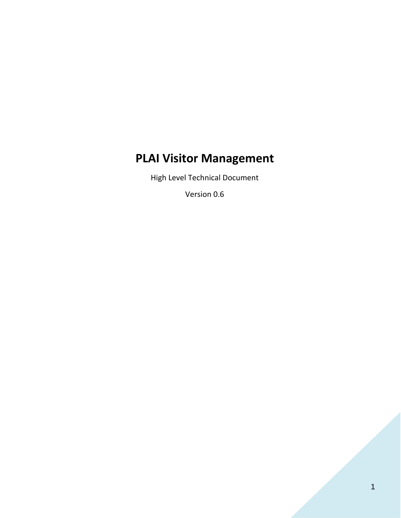# **PLAI Visitor Management**

High Level Technical Document

Version 0.6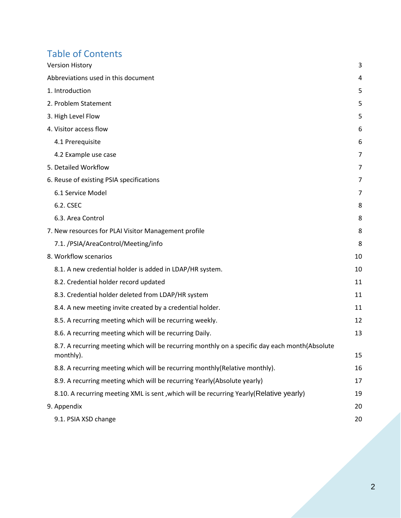## Table of Contents

| <b>Version History</b>                                                                                      | 3  |
|-------------------------------------------------------------------------------------------------------------|----|
| Abbreviations used in this document                                                                         | 4  |
| 1. Introduction                                                                                             | 5  |
| 2. Problem Statement                                                                                        | 5  |
| 3. High Level Flow                                                                                          | 5  |
| 4. Visitor access flow                                                                                      | 6  |
| 4.1 Prerequisite                                                                                            | 6  |
| 4.2 Example use case                                                                                        | 7  |
| 5. Detailed Workflow                                                                                        | 7  |
| 6. Reuse of existing PSIA specifications                                                                    | 7  |
| 6.1 Service Model                                                                                           | 7  |
| 6.2. CSEC                                                                                                   | 8  |
| 6.3. Area Control                                                                                           | 8  |
| 7. New resources for PLAI Visitor Management profile                                                        | 8  |
| 7.1. /PSIA/AreaControl/Meeting/info                                                                         | 8  |
| 8. Workflow scenarios                                                                                       | 10 |
| 8.1. A new credential holder is added in LDAP/HR system.                                                    | 10 |
| 8.2. Credential holder record updated                                                                       | 11 |
| 8.3. Credential holder deleted from LDAP/HR system                                                          | 11 |
| 8.4. A new meeting invite created by a credential holder.                                                   | 11 |
| 8.5. A recurring meeting which will be recurring weekly.                                                    | 12 |
| 8.6. A recurring meeting which will be recurring Daily.                                                     | 13 |
| 8.7. A recurring meeting which will be recurring monthly on a specific day each month(Absolute<br>monthly). | 15 |
| 8.8. A recurring meeting which will be recurring monthly (Relative monthly).                                | 16 |
| 8.9. A recurring meeting which will be recurring Yearly(Absolute yearly)                                    | 17 |
| 8.10. A recurring meeting XML is sent, which will be recurring Yearly(Relative yearly)                      | 19 |
| 9. Appendix                                                                                                 | 20 |
| 9.1. PSIA XSD change                                                                                        | 20 |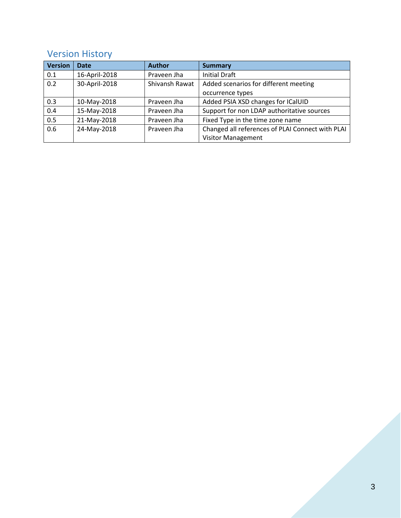## <span id="page-2-0"></span>Version History

| <b>Version</b> | <b>Date</b>   | <b>Author</b>  | <b>Summary</b>                                   |
|----------------|---------------|----------------|--------------------------------------------------|
| 0.1            | 16-April-2018 | Praveen Jha    | <b>Initial Draft</b>                             |
| 0.2            | 30-April-2018 | Shivansh Rawat | Added scenarios for different meeting            |
|                |               |                | occurrence types                                 |
| 0.3            | 10-May-2018   | Praveen Jha    | Added PSIA XSD changes for ICalUID               |
| 0.4            | 15-May-2018   | Praveen Jha    | Support for non LDAP authoritative sources       |
| 0.5            | 21-May-2018   | Praveen Jha    | Fixed Type in the time zone name                 |
| 0.6            | 24-May-2018   | Praveen Jha    | Changed all references of PLAI Connect with PLAI |
|                |               |                | <b>Visitor Management</b>                        |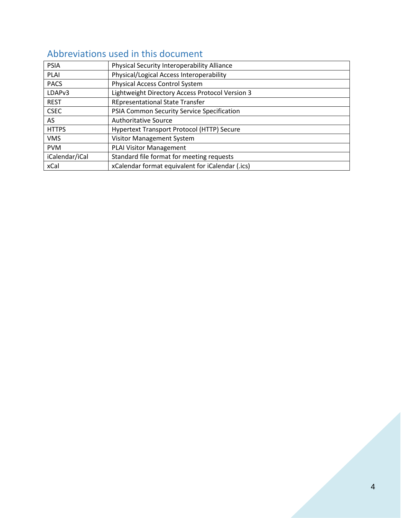## <span id="page-3-0"></span>Abbreviations used in this document

| <b>PSIA</b>        | Physical Security Interoperability Alliance      |
|--------------------|--------------------------------------------------|
| <b>PLAI</b>        | Physical/Logical Access Interoperability         |
| <b>PACS</b>        | Physical Access Control System                   |
| LDAP <sub>v3</sub> | Lightweight Directory Access Protocol Version 3  |
| <b>REST</b>        | <b>REpresentational State Transfer</b>           |
| <b>CSEC</b>        | PSIA Common Security Service Specification       |
| AS                 | <b>Authoritative Source</b>                      |
| <b>HTTPS</b>       | Hypertext Transport Protocol (HTTP) Secure       |
| <b>VMS</b>         | Visitor Management System                        |
| <b>PVM</b>         | <b>PLAI Visitor Management</b>                   |
| iCalendar/iCal     | Standard file format for meeting requests        |
| xCal               | xCalendar format equivalent for iCalendar (.ics) |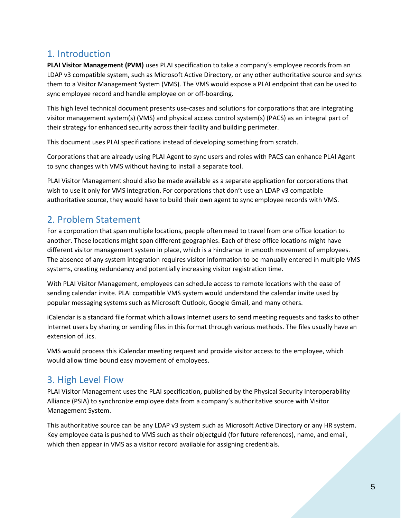## <span id="page-4-0"></span>1. Introduction

**PLAI Visitor Management (PVM)** uses PLAI specification to take a company's employee records from an LDAP v3 compatible system, such as Microsoft Active Directory, or any other authoritative source and syncs them to a Visitor Management System (VMS). The VMS would expose a PLAI endpoint that can be used to sync employee record and handle employee on or off-boarding.

This high level technical document presents use-cases and solutions for corporations that are integrating visitor management system(s) (VMS) and physical access control system(s) (PACS) as an integral part of their strategy for enhanced security across their facility and building perimeter.

This document uses PLAI specifications instead of developing something from scratch.

Corporations that are already using PLAI Agent to sync users and roles with PACS can enhance PLAI Agent to sync changes with VMS without having to install a separate tool.

PLAI Visitor Management should also be made available as a separate application for corporations that wish to use it only for VMS integration. For corporations that don't use an LDAP v3 compatible authoritative source, they would have to build their own agent to sync employee records with VMS.

## <span id="page-4-1"></span>2. Problem Statement

For a corporation that span multiple locations, people often need to travel from one office location to another. These locations might span different geographies. Each of these office locations might have different visitor management system in place, which is a hindrance in smooth movement of employees. The absence of any system integration requires visitor information to be manually entered in multiple VMS systems, creating redundancy and potentially increasing visitor registration time.

With PLAI Visitor Management, employees can schedule access to remote locations with the ease of sending calendar invite. PLAI compatible VMS system would understand the calendar invite used by popular messaging systems such as Microsoft Outlook, Google Gmail, and many others.

iCalendar is a standard file format which allows Internet users to send meeting requests and tasks to other Internet users by sharing or sending files in this format through various methods. The files usually have an extension of .ics.

VMS would process this iCalendar meeting request and provide visitor access to the employee, which would allow time bound easy movement of employees.

## <span id="page-4-2"></span>3. High Level Flow

PLAI Visitor Management uses the PLAI specification, published by the Physical Security Interoperability Alliance (PSIA) to synchronize employee data from a company's authoritative source with Visitor Management System.

This authoritative source can be any LDAP v3 system such as Microsoft Active Directory or any HR system. Key employee data is pushed to VMS such as their objectguid (for future references), name, and email, which then appear in VMS as a visitor record available for assigning credentials.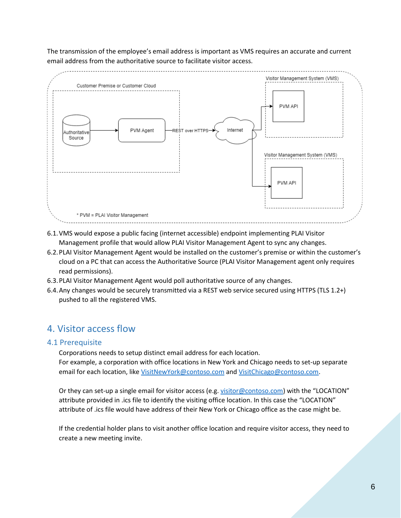The transmission of the employee's email address is important as VMS requires an accurate and current email address from the authoritative source to facilitate visitor access.



- 6.1.VMS would expose a public facing (internet accessible) endpoint implementing PLAI Visitor Management profile that would allow PLAI Visitor Management Agent to sync any changes.
- 6.2.PLAI Visitor Management Agent would be installed on the customer's premise or within the customer's cloud on a PC that can access the Authoritative Source (PLAI Visitor Management agent only requires read permissions).
- 6.3.PLAI Visitor Management Agent would poll authoritative source of any changes.
- 6.4.Any changes would be securely transmitted via a REST web service secured using HTTPS (TLS 1.2+) pushed to all the registered VMS.

## <span id="page-5-0"></span>4. Visitor access flow

#### <span id="page-5-1"></span>4.1 Prerequisite

Corporations needs to setup distinct email address for each location. For example, a corporation with office locations in New York and Chicago needs to set-up separate email for each location, like [VisitNewYork@contoso.com](mailto:VisitNewYork@contoso.com) an[d VisitChicago@contoso.com.](mailto:VisitChicago@contoso.com)

Or they can set-up a single email for visitor access (e.g. [visitor@contoso.com\)](mailto:visitor@contoso.com) with the "LOCATION" attribute provided in .ics file to identify the visiting office location. In this case the "LOCATION" attribute of .ics file would have address of their New York or Chicago office as the case might be.

If the credential holder plans to visit another office location and require visitor access, they need to create a new meeting invite.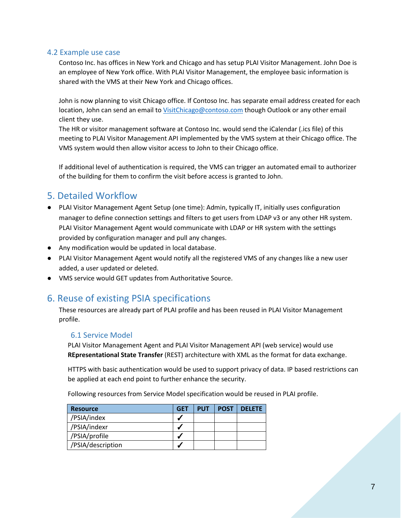### <span id="page-6-0"></span>4.2 Example use case

Contoso Inc. has offices in New York and Chicago and has setup PLAI Visitor Management. John Doe is an employee of New York office. With PLAI Visitor Management, the employee basic information is shared with the VMS at their New York and Chicago offices.

John is now planning to visit Chicago office. If Contoso Inc. has separate email address created for each location, John can send an email to [VisitChicago@contoso.com](mailto:VisitChicago@contoso.com) though Outlook or any other email client they use.

The HR or visitor management software at Contoso Inc. would send the iCalendar (.ics file) of this meeting to PLAI Visitor Management API implemented by the VMS system at their Chicago office. The VMS system would then allow visitor access to John to their Chicago office.

If additional level of authentication is required, the VMS can trigger an automated email to authorizer of the building for them to confirm the visit before access is granted to John.

## <span id="page-6-1"></span>5. Detailed Workflow

- PLAI Visitor Management Agent Setup (one time): Admin, typically IT, initially uses configuration manager to define connection settings and filters to get users from LDAP v3 or any other HR system. PLAI Visitor Management Agent would communicate with LDAP or HR system with the settings provided by configuration manager and pull any changes.
- Any modification would be updated in local database.
- PLAI Visitor Management Agent would notify all the registered VMS of any changes like a new user added, a user updated or deleted.
- VMS service would GET updates from Authoritative Source.

## <span id="page-6-2"></span>6. Reuse of existing PSIA specifications

These resources are already part of PLAI profile and has been reused in PLAI Visitor Management profile.

## <span id="page-6-3"></span>6.1 Service Model

PLAI Visitor Management Agent and PLAI Visitor Management API (web service) would use **REpresentational State Transfer** (REST) architecture with XML as the format for data exchange.

HTTPS with basic authentication would be used to support privacy of data. IP based restrictions can be applied at each end point to further enhance the security.

Following resources from Service Model specification would be reused in PLAI profile.

| <b>Resource</b>   | <b>GET</b> | <b>PUT</b> | <b>POST</b> | <b>DELETE</b> |
|-------------------|------------|------------|-------------|---------------|
| /PSIA/index       |            |            |             |               |
| /PSIA/indexr      |            |            |             |               |
| /PSIA/profile     |            |            |             |               |
| /PSIA/description |            |            |             |               |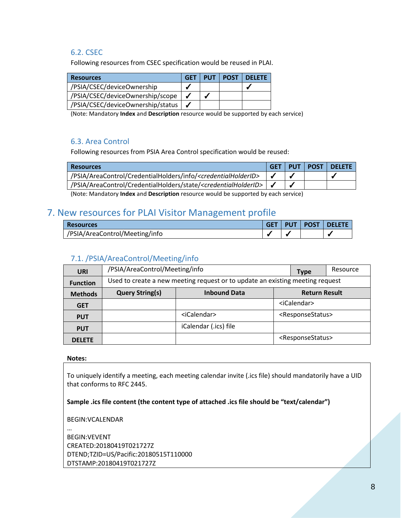## <span id="page-7-0"></span>6.2. CSEC

Following resources from CSEC specification would be reused in PLAI.

| <b>Resources</b>                  | <b>GET</b> | <b>PUT</b> | <b>POST   DELETE</b> |
|-----------------------------------|------------|------------|----------------------|
| /PSIA/CSEC/deviceOwnership        |            |            |                      |
| /PSIA/CSEC/deviceOwnership/scope  |            | √          |                      |
| /PSIA/CSEC/deviceOwnership/status |            |            |                      |

(Note: Mandatory **Index** and **Description** resource would be supported by each service)

### <span id="page-7-1"></span>6.3. Area Control

Following resources from PSIA Area Control specification would be reused:

| <b>Resources</b>                                                                      | <b>GET</b> | <b>PUT</b> | <b>POST   DELETE</b> |
|---------------------------------------------------------------------------------------|------------|------------|----------------------|
| /PSIA/AreaControl/CredentialHolders/info/ <credentialholderid></credentialholderid>   |            |            |                      |
| pSIA/AreaControl/CredentialHolders/state/ <credentialholderid>  </credentialholderid> |            |            |                      |

(Note: Mandatory **Index** and **Description** resource would be supported by each service)

## <span id="page-7-2"></span>7. New resources for PLAI Visitor Management profile

| <b>Resources</b>               |  | <b>PUT   POST  </b> | <b>DELETE</b> |
|--------------------------------|--|---------------------|---------------|
| /PSIA/AreaControl/Meeting/info |  |                     |               |

### <span id="page-7-3"></span>7.1. /PSIA/AreaControl/Meeting/info

| <b>URI</b>      | /PSIA/AreaControl/Meeting/info |                                                                               | Resource<br><b>Type</b> |                                   |  |
|-----------------|--------------------------------|-------------------------------------------------------------------------------|-------------------------|-----------------------------------|--|
| <b>Function</b> |                                | Used to create a new meeting request or to update an existing meeting request |                         |                                   |  |
| <b>Methods</b>  | <b>Query String(s)</b>         | <b>Inbound Data</b>                                                           |                         | <b>Return Result</b>              |  |
| <b>GET</b>      |                                |                                                                               |                         | <icalendar></icalendar>           |  |
| <b>PUT</b>      |                                | <icalendar></icalendar>                                                       |                         | <responsestatus></responsestatus> |  |
| <b>PUT</b>      |                                | iCalendar (.ics) file                                                         |                         |                                   |  |
| <b>DELETE</b>   |                                |                                                                               |                         | <responsestatus></responsestatus> |  |

#### **Notes:**

To uniquely identify a meeting, each meeting calendar invite (.ics file) should mandatorily have a UID that conforms to RFC 2445.

**Sample .ics file content (the content type of attached .ics file should be "text/calendar")**

BEGIN:VCALENDAR

… BEGIN:VEVENT CREATED:20180419T021727Z DTEND;TZID=US/Pacific:20180515T110000 DTSTAMP:20180419T021727Z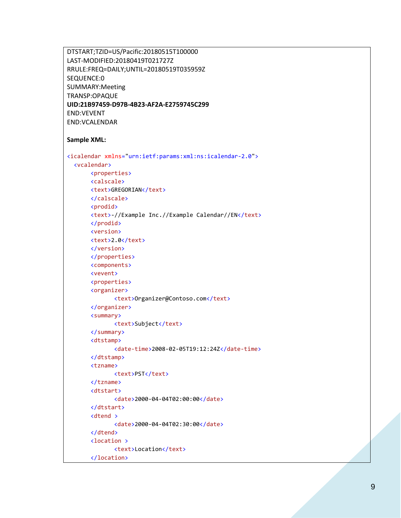```
LAST-MODIFIED:20180419T021727Z
RRULE:FREQ=DAILY;UNTIL=20180519T035959Z
SEQUENCE:0
SUMMARY:Meeting
TRANSP:OPAQUE
UID:21B97459-D97B-4B23-AF2A-E2759745C299
END:VEVENT
END:VCALENDAR
Sample XML:
<icalendar xmlns="urn:ietf:params:xml:ns:icalendar-2.0">
   <vcalendar>
       <properties>
        <calscale>
        <text>GREGORIAN</text>
        </calscale>
        <prodid>
        <text>-//Example Inc.//Example Calendar//EN</text>
        </prodid>
        <version>
        <text>2.0</text>
        </version>
       </properties>
       <components>
        <vevent>
        <properties>
        <organizer>
               <text>Organizer@Contoso.com</text>
        </organizer>
        <summary>
              <text>Subject</text>
        </summary>
        <dtstamp>
               <date-time>2008-02-05T19:12:24Z</date-time>
        </dtstamp>
        <tzname>
              <text>PST</text>
        </tzname>
        <dtstart>
               <date>2000-04-04T02:00:00</date>
        </dtstart>
        <dtend >
               <date>2000-04-04T02:30:00</date>
        </dtend>
        <location >
               <text>Location</text>
        </location>
```
DTSTART;TZID=US/Pacific:20180515T100000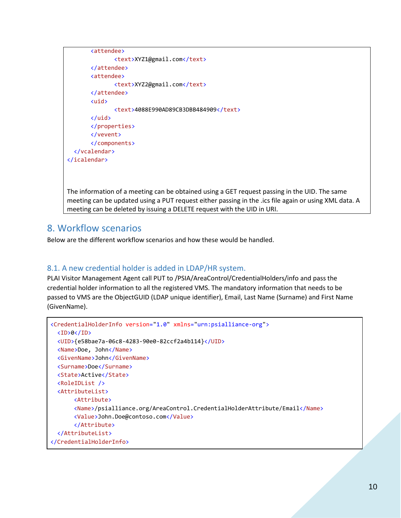```
 <attendee>
                <text>XYZ1@gmail.com</text>
        </attendee>
        <attendee>
                <text>XYZ2@gmail.com</text>
        </attendee>
        <uid>
                <text>4088E990AD89CB3DBB484909</text>
        </uid>
        </properties>
        </vevent>
       </components>
   </vcalendar>
</icalendar>
```
The information of a meeting can be obtained using a GET request passing in the UID. The same meeting can be updated using a PUT request either passing in the .ics file again or using XML data. A meeting can be deleted by issuing a DELETE request with the UID in URI.

## <span id="page-9-0"></span>8. Workflow scenarios

Below are the different workflow scenarios and how these would be handled.

### <span id="page-9-1"></span>8.1. A new credential holder is added in LDAP/HR system.

PLAI Visitor Management Agent call PUT to /PSIA/AreaControl/CredentialHolders/info and pass the credential holder information to all the registered VMS. The mandatory information that needs to be passed to VMS are the ObjectGUID (LDAP unique identifier), Email, Last Name (Surname) and First Name (GivenName).

```
<CredentialHolderInfo version="1.0" xmlns="urn:psialliance-org">
  <ID>0</ID>
  <UID>{e58bae7a-06c8-4283-90e0-82ccf2a4b114}</UID>
  <Name>Doe, John</Name>
  <GivenName>John</GivenName>
  <Surname>Doe</Surname>
  <State>Active</State>
  <RoleIDList />
  <AttributeList>
       <Attribute>
       <Name>/psialliance.org/AreaControl.CredentialHolderAttribute/Email</Name>
       <Value>John.Doe@contoso.com</Value>
       </Attribute>
   </AttributeList>
 </CredentialHolderInfo>
```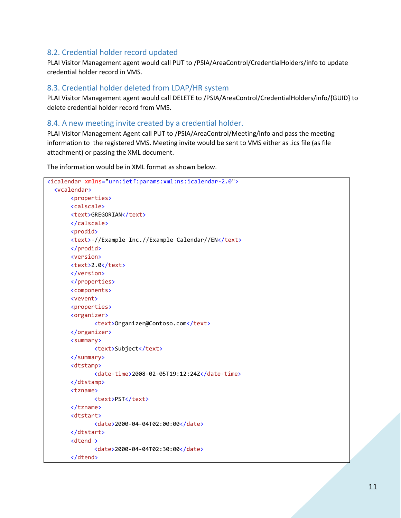## <span id="page-10-0"></span>8.2. Credential holder record updated

PLAI Visitor Management agent would call PUT to /PSIA/AreaControl/CredentialHolders/info to update credential holder record in VMS.

## <span id="page-10-1"></span>8.3. Credential holder deleted from LDAP/HR system

PLAI Visitor Management agent would call DELETE to /PSIA/AreaControl/CredentialHolders/info/{GUID} to delete credential holder record from VMS.

## <span id="page-10-2"></span>8.4. A new meeting invite created by a credential holder.

PLAI Visitor Management Agent call PUT to /PSIA/AreaControl/Meeting/info and pass the meeting information to the registered VMS. Meeting invite would be sent to VMS either as .ics file (as file attachment) or passing the XML document.

The information would be in XML format as shown below.

```
<icalendar xmlns="urn:ietf:params:xml:ns:icalendar-2.0">
   <vcalendar>
       <properties>
        <calscale>
       <text>GREGORIAN</text>
        </calscale>
        <prodid>
        <text>-//Example Inc.//Example Calendar//EN</text>
        </prodid>
        <version>
        <text>2.0</text>
        </version>
       </properties>
       <components>
        <vevent>
        <properties>
        <organizer>
               <text>Organizer@Contoso.com</text>
        </organizer>
        <summary>
               <text>Subject</text>
        </summary>
        <dtstamp>
               <date-time>2008-02-05T19:12:24Z</date-time>
        </dtstamp>
        <tzname>
              <text>PST</text>
        </tzname>
        <dtstart>
               <date>2000-04-04T02:00:00</date>
        </dtstart>
        <dtend >
               <date>2000-04-04T02:30:00</date>
        </dtend>
```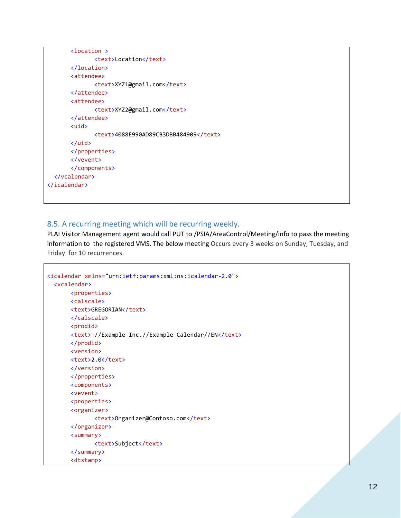```
 <location >
                <text>Location</text>
        </location>
        <attendee>
                <text>XYZ1@gmail.com</text>
        </attendee>
        <attendee>
                <text>XYZ2@gmail.com</text>
        </attendee>
        <uid>
                <text>4088E990AD89CB3DBB484909</text>
        </uid>
        </properties>
        </vevent>
       </components>
   </vcalendar>
</icalendar>
```
### <span id="page-11-0"></span>8.5. A recurring meeting which will be recurring weekly.

PLAI Visitor Management agent would call PUT to /PSIA/AreaControl/Meeting/info to pass the meeting information to the registered VMS. The below meeting Occurs every 3 weeks on Sunday, Tuesday, and Friday for 10 recurrences.

```
<icalendar xmlns="urn:ietf:params:xml:ns:icalendar-2.0">
   <vcalendar>
       <properties>
        <calscale>
        <text>GREGORIAN</text>
        </calscale>
        <prodid>
        <text>-//Example Inc.//Example Calendar//EN</text>
        </prodid>
        <version>
       <text>2.0</text>
        </version>
       </properties>
       <components>
        <vevent>
        <properties>
        <organizer>
               <text>Organizer@Contoso.com</text>
        </organizer>
        <summary>
              <text>Subject</text>
        </summary>
        <dtstamp>
```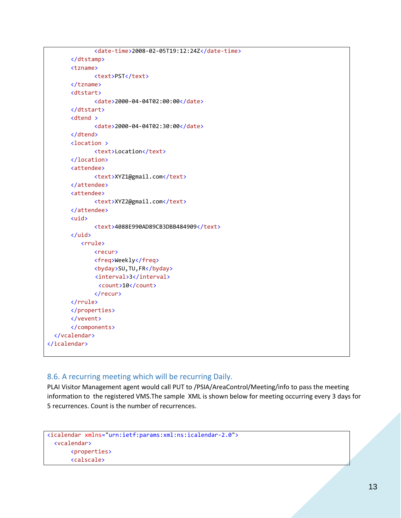```
 <date-time>2008-02-05T19:12:24Z</date-time>
        </dtstamp>
        <tzname>
               <text>PST</text>
        </tzname>
        <dtstart>
                <date>2000-04-04T02:00:00</date>
        </dtstart>
        <dtend >
                <date>2000-04-04T02:30:00</date>
        </dtend>
        <location >
                <text>Location</text>
        </location>
        <attendee>
                <text>XYZ1@gmail.com</text>
        </attendee>
        <attendee>
                <text>XYZ2@gmail.com</text>
        </attendee>
        <uid>
                <text>4088E990AD89CB3DBB484909</text>
        </uid>
           <rrule>
                <recur>
                <freq>Weekly</freq>
                <byday>SU,TU,FR</byday>
                <interval>3</interval>
                 <count>10</count>
               </recur>
        </rrule>
        </properties>
        </vevent>
       </components>
   </vcalendar>
</icalendar>
```
## <span id="page-12-0"></span>8.6. A recurring meeting which will be recurring Daily.

PLAI Visitor Management agent would call PUT to /PSIA/AreaControl/Meeting/info to pass the meeting information to the registered VMS.The sample XML is shown below for meeting occurring every 3 days for 5 recurrences. Count is the number of recurrences.

```
<icalendar xmlns="urn:ietf:params:xml:ns:icalendar-2.0">
  <vcalendar>
      <properties>
       <calscale>
```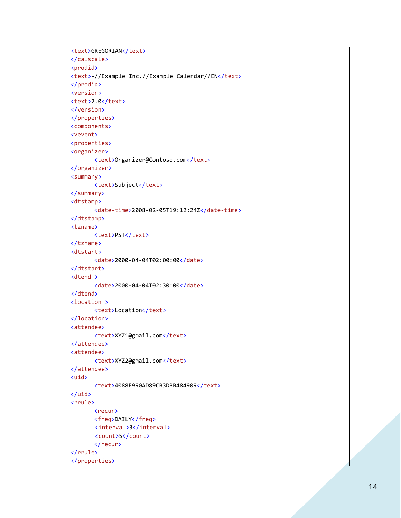```
<text>GREGORIAN</text>
 </calscale
>
      <prodid
>
      <text
>
-//Example Inc.//Example Calendar//EN</text
>
 </prodid
>
      <version
>
      <text>2.0</text>
 </version
>
      </properties
>
      <components
>
      <vevent
>
      <properties
>
      <organizer
>
             <text>Organizer@Contoso.com</text>
 </organizer
>
      <summary
>
             <text
>Subject</text
>
 </summary
>
      <dtstamp
>
             <date-time>2008-02-05T19:12:24Z</date-time>
 </dtstamp
>
      <tzname
>
             <text>PST</text>
 </tzname
>
      <dtstart
>
             <date>2000-04-04T02:00:00</date>
 </dtstart
>
      <dtend
>
             <date>2000-04-04T02:30:00</date>
 </dtend
>
      <location
>
             <text
>Location</text
>
 </location
>
      <attendee
>
             <text
>XYZ1@gmail.com</text
>
 </attendee
>
      <attendee
>
             <text
>XYZ2@gmail.com</text
>
 </attendee
>
      <uid
>
             <text>4088E990AD89CB3DBB484909</text>
 </uid
>
      <rrule
>
             <recur>
             <freq
>DAILY</freq
>
              <interval>3</interval>
              <count
>
5</count
>
Example 2 / recur>
       </rrule> 
 </properties
>
```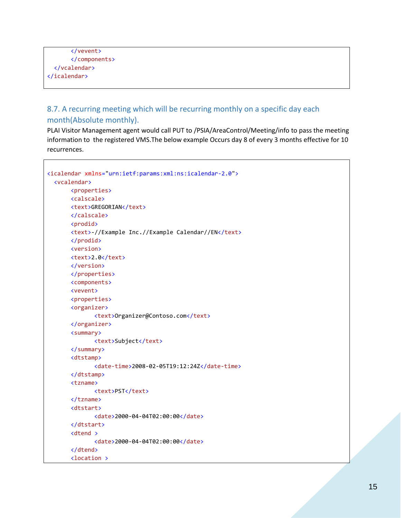```
 </vevent>
       </components>
   </vcalendar>
</icalendar>
```
## <span id="page-14-0"></span>8.7. A recurring meeting which will be recurring monthly on a specific day each month(Absolute monthly).

PLAI Visitor Management agent would call PUT to /PSIA/AreaControl/Meeting/info to pass the meeting information to the registered VMS.The below example Occurs day 8 of every 3 months effective for 10 recurrences.

```
<icalendar xmlns="urn:ietf:params:xml:ns:icalendar-2.0">
   <vcalendar>
       <properties>
        <calscale>
        <text>GREGORIAN</text>
        </calscale>
        <prodid>
        <text>-//Example Inc.//Example Calendar//EN</text>
        </prodid>
        <version>
        <text>2.0</text>
        </version>
       </properties>
       <components>
        <vevent>
        <properties>
        <organizer>
               <text>Organizer@Contoso.com</text>
        </organizer>
        <summary>
              <text>Subject</text>
        </summary>
        <dtstamp>
               <date-time>2008-02-05T19:12:24Z</date-time>
        </dtstamp>
        <tzname>
               <text>PST</text>
        </tzname>
        <dtstart>
                <date>2000-04-04T02:00:00</date>
        </dtstart>
        <dtend >
                <date>2000-04-04T02:00:00</date>
        </dtend>
        <location >
```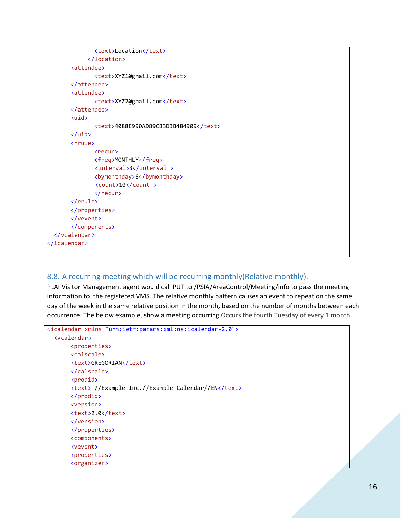```
 <text>Location</text>
              </location>
        <attendee>
                <text>XYZ1@gmail.com</text>
        </attendee>
        <attendee>
                <text>XYZ2@gmail.com</text>
        </attendee>
        <uid>
                <text>4088E990AD89CB3DBB484909</text>
        </uid>
        <rrule>
                <recur>
                <freq>MONTHLY</freq>
                <interval>3</interval >
                <bymonthday>8</bymonthday>
                <count>10</count >
               </recur>
        </rrule>
        </properties>
        </vevent>
       </components>
   </vcalendar>
</icalendar>
```
### <span id="page-15-0"></span>8.8. A recurring meeting which will be recurring monthly(Relative monthly).

PLAI Visitor Management agent would call PUT to /PSIA/AreaControl/Meeting/info to pass the meeting information to the registered VMS. The relative monthly pattern causes an event to repeat on the same day of the week in the same relative position in the month, based on the number of months between each occurrence. The below example, show a meeting occurring Occurs the fourth Tuesday of every 1 month.

```
<icalendar xmlns="urn:ietf:params:xml:ns:icalendar-2.0">
   <vcalendar>
       <properties>
        <calscale>
        <text>GREGORIAN</text>
        </calscale>
        <prodid>
        <text>-//Example Inc.//Example Calendar//EN</text>
        </prodid>
        <version>
        <text>2.0</text>
        </version>
       </properties>
       <components>
        <vevent>
        <properties>
        <organizer>
```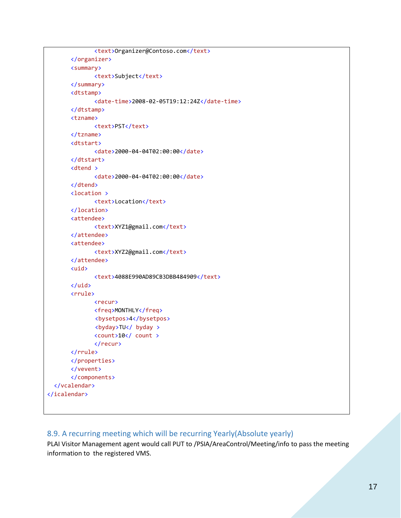```
 <text>Organizer@Contoso.com</text>
        </organizer>
        <summary>
                <text>Subject</text>
        </summary>
        <dtstamp>
                <date-time>2008-02-05T19:12:24Z</date-time>
        </dtstamp>
        <tzname>
              <text>PST</text>
        </tzname>
        <dtstart>
                <date>2000-04-04T02:00:00</date>
        </dtstart>
        <dtend >
                <date>2000-04-04T02:00:00</date>
        </dtend>
        <location >
                <text>Location</text>
        </location>
        <attendee>
                <text>XYZ1@gmail.com</text>
        </attendee>
        <attendee>
                <text>XYZ2@gmail.com</text>
        </attendee>
        <uid>
               <text>4088E990AD89CB3DBB484909</text>
        </uid>
        <rrule>
                <recur>
                <freq>MONTHLY</freq>
                <bysetpos>4</bysetpos>
                <byday>TU</ byday >
                <count>10</ count > 
                </recur>
        </rrule>
        </properties>
        </vevent>
       </components>
   </vcalendar>
</icalendar>
```
## <span id="page-16-0"></span>8.9. A recurring meeting which will be recurring Yearly(Absolute yearly)

PLAI Visitor Management agent would call PUT to /PSIA/AreaControl/Meeting/info to pass the meeting information to the registered VMS.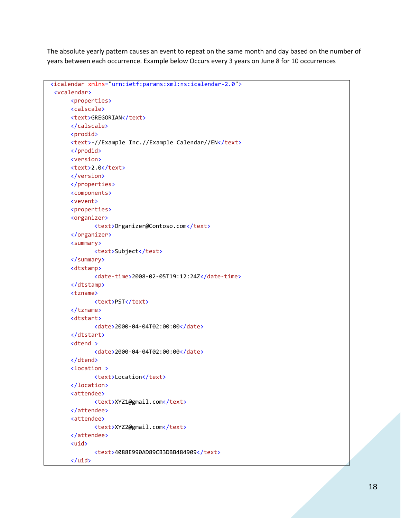The absolute yearly pattern causes an event to repeat on the same month and day based on the number of years between each occurrence. Example below Occurs every 3 years on June 8 for 10 occurrences

```
 <icalendar xmlns="urn:ietf:params:xml:ns:icalendar-2.0">
  <vcalendar>
      <properties>
       <calscale>
       <text>GREGORIAN</text>
       </calscale>
       <prodid>
       <text>-//Example Inc.//Example Calendar//EN</text>
       </prodid>
       <version>
       <text>2.0</text>
       </version>
      </properties>
      <components>
       <vevent>
       <properties>
       <organizer>
              <text>Organizer@Contoso.com</text>
       </organizer>
       <summary>
             <text>Subject</text>
       </summary>
       <dtstamp>
               <date-time>2008-02-05T19:12:24Z</date-time>
       </dtstamp>
       <tzname>
             <text>PST</text>
       </tzname>
       <dtstart>
              <date>2000-04-04T02:00:00</date>
       </dtstart>
       <dtend >
               <date>2000-04-04T02:00:00</date>
       </dtend>
       <location >
               <text>Location</text>
       </location>
       <attendee>
               <text>XYZ1@gmail.com</text>
       </attendee>
       <attendee>
               <text>XYZ2@gmail.com</text>
       </attendee>
       <uid>
               <text>4088E990AD89CB3DBB484909</text>
       </uid>
```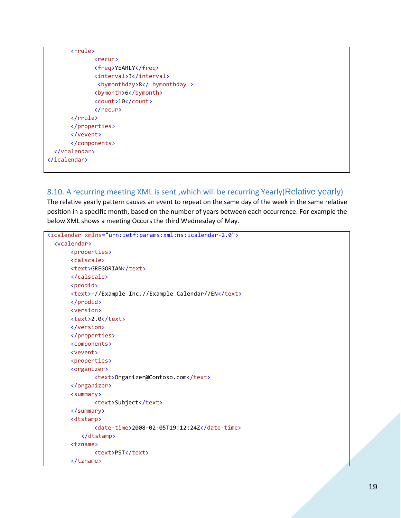| <rrule></rrule>            |
|----------------------------|
| <recur></recur>            |
| <freq>YEARLY</freq>        |
| <interval>3</interval>     |
| <br>bymonthday>8           |
| <br>bymonth>6              |
| <count>10</count>          |
| $\langle$ /recur>          |
| $\langle$ /rrule $\rangle$ |
|                            |
|                            |
|                            |
|                            |
|                            |
|                            |

### <span id="page-18-0"></span>8.10. A recurring meeting XML is sent ,which will be recurring Yearly(Relative yearly)

The relative yearly pattern causes an event to repeat on the same day of the week in the same relative position in a specific month, based on the number of years between each occurrence. For example the below XML shows a meeting Occurs the third Wednesday of May.

```
<icalendar xmlns="urn:ietf:params:xml:ns:icalendar-2.0">
   <vcalendar>
       <properties>
        <calscale>
        <text>GREGORIAN</text>
        </calscale>
        <prodid>
        <text>-//Example Inc.//Example Calendar//EN</text>
        </prodid>
        <version>
        <text>2.0</text>
        </version>
       </properties>
       <components>
        <vevent>
        <properties>
        <organizer>
               <text>Organizer@Contoso.com</text>
        </organizer>
        <summary>
              <text>Subject</text>
        </summary>
        <dtstamp>
               <date-time>2008-02-05T19:12:24Z</date-time>
           </dtstamp>
        <tzname>
              <text>PST</text>
        </tzname>
```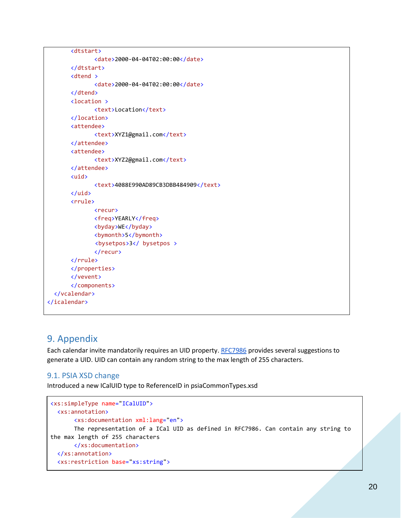```
 <dtstart>
                <date>2000-04-04T02:00:00</date>
        </dtstart>
        <dtend >
                <date>2000-04-04T02:00:00</date>
        </dtend>
        <location >
                <text>Location</text>
        </location>
        <attendee>
                <text>XYZ1@gmail.com</text>
        </attendee>
        <attendee>
                <text>XYZ2@gmail.com</text>
        </attendee>
        <uid>
                <text>4088E990AD89CB3DBB484909</text>
        </uid>
        <rrule>
                <recur>
                <freq>YEARLY</freq>
                <byday>WE</byday>
                <bymonth>5</bymonth>
                <bysetpos>3</ bysetpos >
               </recur>
        </rrule>
        </properties>
        </vevent>
       </components>
   </vcalendar>
</icalendar>
```
## <span id="page-19-0"></span>9. Appendix

Each calendar invite mandatorily requires an UID property[. RFC7986](https://tools.ietf.org/html/rfc7986#section-5.3) provides several suggestions to generate a UID. UID can contain any random string to the max length of 255 characters.

## <span id="page-19-1"></span>9.1. PSIA XSD change

Introduced a new ICalUID type to ReferenceID in psiaCommonTypes.xsd

```
<xs:simpleType name="ICalUID">
   <xs:annotation>
       <xs:documentation xml:lang="en">
        The representation of a ICal UID as defined in RFC7986. Can contain any string to 
the max length of 255 characters
       </xs:documentation>
   </xs:annotation>
   <xs:restriction base="xs:string">
```